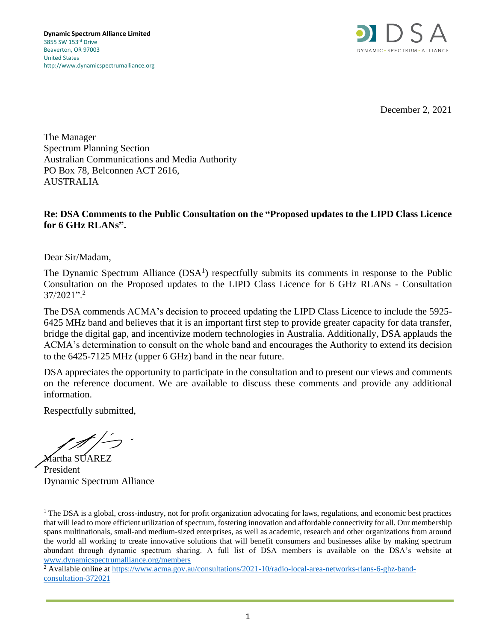

December 2, 2021

The Manager Spectrum Planning Section Australian Communications and Media Authority PO Box 78, Belconnen ACT 2616, AUSTRALIA

#### **Re: DSA Comments to the Public Consultation on the "Proposed updates to the LIPD Class Licence for 6 GHz RLANs".**

Dear Sir/Madam,

The Dynamic Spectrum Alliance  $(DSA<sup>1</sup>)$  respectfully submits its comments in response to the Public Consultation on the Proposed updates to the LIPD Class Licence for 6 GHz RLANs - Consultation  $37/2021$ ".<sup>2</sup>

The DSA commends ACMA's decision to proceed updating the LIPD Class Licence to include the 5925- 6425 MHz band and believes that it is an important first step to provide greater capacity for data transfer, bridge the digital gap, and incentivize modern technologies in Australia. Additionally, DSA applauds the ACMA's determination to consult on the whole band and encourages the Authority to extend its decision to the 6425-7125 MHz (upper 6 GHz) band in the near future.

DSA appreciates the opportunity to participate in the consultation and to present our views and comments on the reference document. We are available to discuss these comments and provide any additional information.

Respectfully submitted,

Martha SUAREZ President Dynamic Spectrum Alliance

<sup>&</sup>lt;sup>1</sup> The DSA is a global, cross-industry, not for profit organization advocating for laws, regulations, and economic best practices that will lead to more efficient utilization of spectrum, fostering innovation and affordable connectivity for all. Our membership spans multinationals, small-and medium-sized enterprises, as well as academic, research and other organizations from around the world all working to create innovative solutions that will benefit consumers and businesses alike by making spectrum abundant through dynamic spectrum sharing. A full list of DSA members is available on the DSA's website at [www.dynamicspectrumalliance.org/members](http://www.dynamicspectrumalliance.org/members)

<sup>&</sup>lt;sup>2</sup> Available online at [https://www.acma.gov.au/consultations/2021-10/radio-local-area-networks-rlans-6-ghz-band](https://www.acma.gov.au/consultations/2021-10/radio-local-area-networks-rlans-6-ghz-band-consultation-372021)[consultation-372021](https://www.acma.gov.au/consultations/2021-10/radio-local-area-networks-rlans-6-ghz-band-consultation-372021)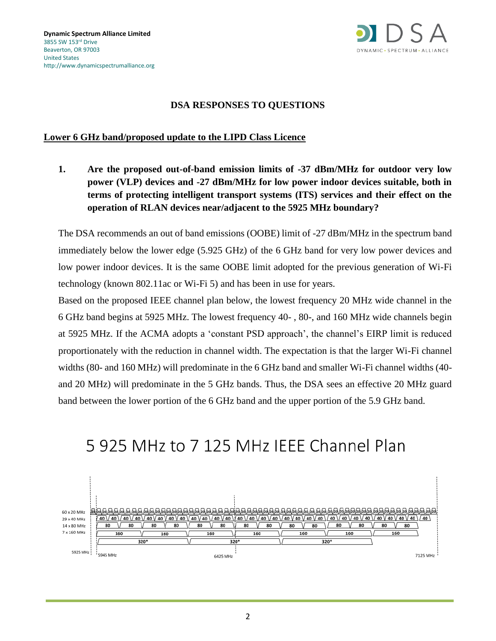

#### **DSA RESPONSES TO QUESTIONS**

#### **Lower 6 GHz band/proposed update to the LIPD Class Licence**

**1. Are the proposed out-of-band emission limits of -37 dBm/MHz for outdoor very low power (VLP) devices and -27 dBm/MHz for low power indoor devices suitable, both in terms of protecting intelligent transport systems (ITS) services and their effect on the operation of RLAN devices near/adjacent to the 5925 MHz boundary?**

The DSA recommends an out of band emissions (OOBE) limit of -27 dBm/MHz in the spectrum band immediately below the lower edge (5.925 GHz) of the 6 GHz band for very low power devices and low power indoor devices. It is the same OOBE limit adopted for the previous generation of Wi-Fi technology (known 802.11ac or Wi-Fi 5) and has been in use for years.

Based on the proposed IEEE channel plan below, the lowest frequency 20 MHz wide channel in the 6 GHz band begins at 5925 MHz. The lowest frequency 40- , 80-, and 160 MHz wide channels begin at 5925 MHz. If the ACMA adopts a 'constant PSD approach', the channel's EIRP limit is reduced proportionately with the reduction in channel width. The expectation is that the larger Wi-Fi channel widths (80- and 160 MHz) will predominate in the 6 GHz band and smaller Wi-Fi channel widths (40 and 20 MHz) will predominate in the 5 GHz bands. Thus, the DSA sees an effective 20 MHz guard band between the lower portion of the 6 GHz band and the upper portion of the 5.9 GHz band.

# 5 925 MHz to 7 125 MHz IEEE Channel Plan

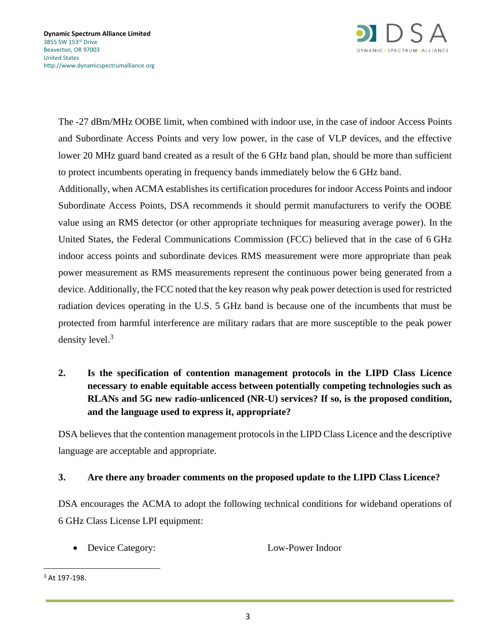

The -27 dBm/MHz OOBE limit, when combined with indoor use, in the case of indoor Access Points and Subordinate Access Points and very low power, in the case of VLP devices, and the effective lower 20 MHz guard band created as a result of the 6 GHz band plan, should be more than sufficient to protect incumbents operating in frequency bands immediately below the 6 GHz band.

Additionally, when ACMA establishes its certification procedures for indoor Access Points and indoor Subordinate Access Points, DSA recommends it should permit manufacturers to verify the OOBE value using an RMS detector (or other appropriate techniques for measuring average power). In the United States, the Federal Communications Commission (FCC) believed that in the case of 6 GHz indoor access points and subordinate devices RMS measurement were more appropriate than peak power measurement as RMS measurements represent the continuous power being generated from a device. Additionally, the FCC noted that the key reason why peak power detection is used for restricted radiation devices operating in the U.S. 5 GHz band is because one of the incumbents that must be protected from harmful interference are military radars that are more susceptible to the peak power density level.<sup>3</sup>

**2. Is the specification of contention management protocols in the LIPD Class Licence necessary to enable equitable access between potentially competing technologies such as RLANs and 5G new radio-unlicenced (NR-U) services? If so, is the proposed condition, and the language used to express it, appropriate?**

DSA believes that the contention management protocols in the LIPD Class Licence and the descriptive language are acceptable and appropriate.

#### **3. Are there any broader comments on the proposed update to the LIPD Class Licence?**

DSA encourages the ACMA to adopt the following technical conditions for wideband operations of 6 GHz Class License LPI equipment:

• Device Category: Low-Power Indoor

<sup>3</sup> At 197-198.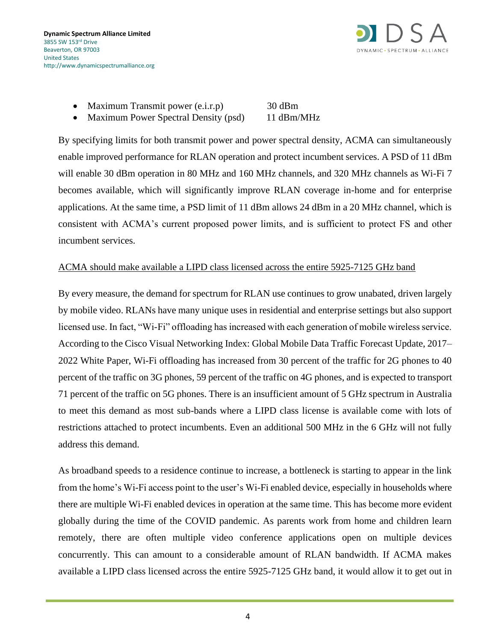

- Maximum Transmit power (e.i.r.p) 30 dBm
- Maximum Power Spectral Density (psd) 11 dBm/MHz

By specifying limits for both transmit power and power spectral density, ACMA can simultaneously enable improved performance for RLAN operation and protect incumbent services. A PSD of 11 dBm will enable 30 dBm operation in 80 MHz and 160 MHz channels, and 320 MHz channels as Wi-Fi 7 becomes available, which will significantly improve RLAN coverage in-home and for enterprise applications. At the same time, a PSD limit of 11 dBm allows 24 dBm in a 20 MHz channel, which is consistent with ACMA's current proposed power limits, and is sufficient to protect FS and other incumbent services.

#### ACMA should make available a LIPD class licensed across the entire 5925-7125 GHz band

By every measure, the demand for spectrum for RLAN use continues to grow unabated, driven largely by mobile video. RLANs have many unique uses in residential and enterprise settings but also support licensed use. In fact, "Wi-Fi" offloading has increased with each generation of mobile wireless service. According to the Cisco Visual Networking Index: Global Mobile Data Traffic Forecast Update, 2017– 2022 White Paper, Wi-Fi offloading has increased from 30 percent of the traffic for 2G phones to 40 percent of the traffic on 3G phones, 59 percent of the traffic on 4G phones, and is expected to transport 71 percent of the traffic on 5G phones. There is an insufficient amount of 5 GHz spectrum in Australia to meet this demand as most sub-bands where a LIPD class license is available come with lots of restrictions attached to protect incumbents. Even an additional 500 MHz in the 6 GHz will not fully address this demand.

As broadband speeds to a residence continue to increase, a bottleneck is starting to appear in the link from the home's Wi-Fi access point to the user's Wi-Fi enabled device, especially in households where there are multiple Wi-Fi enabled devices in operation at the same time. This has become more evident globally during the time of the COVID pandemic. As parents work from home and children learn remotely, there are often multiple video conference applications open on multiple devices concurrently. This can amount to a considerable amount of RLAN bandwidth. If ACMA makes available a LIPD class licensed across the entire 5925-7125 GHz band, it would allow it to get out in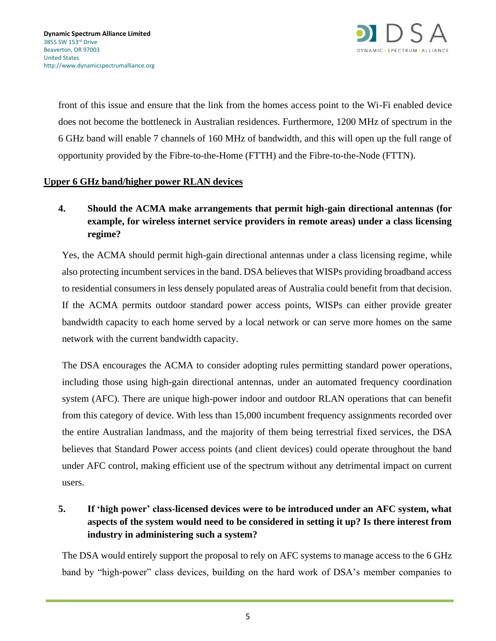

front of this issue and ensure that the link from the homes access point to the Wi-Fi enabled device does not become the bottleneck in Australian residences. Furthermore, 1200 MHz of spectrum in the 6 GHz band will enable 7 channels of 160 MHz of bandwidth, and this will open up the full range of opportunity provided by the Fibre-to-the-Home (FTTH) and the Fibre-to-the-Node (FTTN).

#### **Upper 6 GHz band/higher power RLAN devices**

## **4. Should the ACMA make arrangements that permit high-gain directional antennas (for example, for wireless internet service providers in remote areas) under a class licensing regime?**

Yes, the ACMA should permit high-gain directional antennas under a class licensing regime, while also protecting incumbent services in the band. DSA believes that WISPs providing broadband access to residential consumers in less densely populated areas of Australia could benefit from that decision. If the ACMA permits outdoor standard power access points, WISPs can either provide greater bandwidth capacity to each home served by a local network or can serve more homes on the same network with the current bandwidth capacity.

The DSA encourages the ACMA to consider adopting rules permitting standard power operations, including those using high-gain directional antennas, under an automated frequency coordination system (AFC). There are unique high-power indoor and outdoor RLAN operations that can benefit from this category of device. With less than 15,000 incumbent frequency assignments recorded over the entire Australian landmass, and the majority of them being terrestrial fixed services, the DSA believes that Standard Power access points (and client devices) could operate throughout the band under AFC control, making efficient use of the spectrum without any detrimental impact on current users.

## **5. If 'high power' class-licensed devices were to be introduced under an AFC system, what aspects of the system would need to be considered in setting it up? Is there interest from industry in administering such a system?**

The DSA would entirely support the proposal to rely on AFC systems to manage access to the 6 GHz band by "high-power" class devices, building on the hard work of DSA's member companies to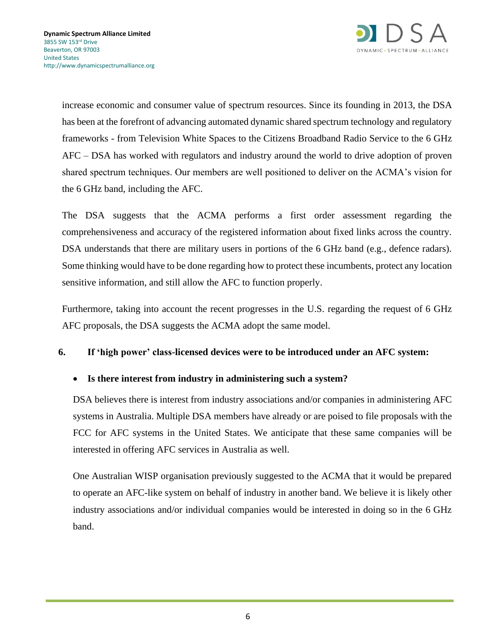

increase economic and consumer value of spectrum resources. Since its founding in 2013, the DSA has been at the forefront of advancing automated dynamic shared spectrum technology and regulatory frameworks - from Television White Spaces to the Citizens Broadband Radio Service to the 6 GHz AFC – DSA has worked with regulators and industry around the world to drive adoption of proven shared spectrum techniques. Our members are well positioned to deliver on the ACMA's vision for the 6 GHz band, including the AFC.

The DSA suggests that the ACMA performs a first order assessment regarding the comprehensiveness and accuracy of the registered information about fixed links across the country. DSA understands that there are military users in portions of the 6 GHz band (e.g., defence radars). Some thinking would have to be done regarding how to protect these incumbents, protect any location sensitive information, and still allow the AFC to function properly.

Furthermore, taking into account the recent progresses in the U.S. regarding the request of 6 GHz AFC proposals, the DSA suggests the ACMA adopt the same model.

#### **6. If 'high power' class-licensed devices were to be introduced under an AFC system:**

#### • **Is there interest from industry in administering such a system?**

DSA believes there is interest from industry associations and/or companies in administering AFC systems in Australia. Multiple DSA members have already or are poised to file proposals with the FCC for AFC systems in the United States. We anticipate that these same companies will be interested in offering AFC services in Australia as well.

One Australian WISP organisation previously suggested to the ACMA that it would be prepared to operate an AFC-like system on behalf of industry in another band. We believe it is likely other industry associations and/or individual companies would be interested in doing so in the 6 GHz band.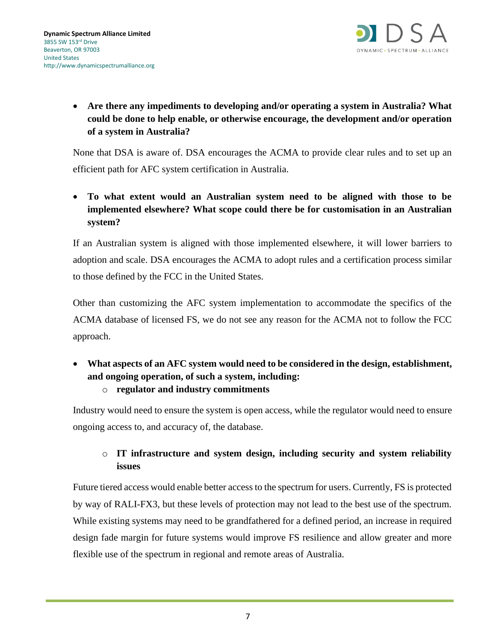

• **Are there any impediments to developing and/or operating a system in Australia? What could be done to help enable, or otherwise encourage, the development and/or operation of a system in Australia?**

None that DSA is aware of. DSA encourages the ACMA to provide clear rules and to set up an efficient path for AFC system certification in Australia.

• **To what extent would an Australian system need to be aligned with those to be implemented elsewhere? What scope could there be for customisation in an Australian system?**

If an Australian system is aligned with those implemented elsewhere, it will lower barriers to adoption and scale. DSA encourages the ACMA to adopt rules and a certification process similar to those defined by the FCC in the United States.

Other than customizing the AFC system implementation to accommodate the specifics of the ACMA database of licensed FS, we do not see any reason for the ACMA not to follow the FCC approach.

• **What aspects of an AFC system would need to be considered in the design, establishment, and ongoing operation, of such a system, including:**

o **regulator and industry commitments**

Industry would need to ensure the system is open access, while the regulator would need to ensure ongoing access to, and accuracy of, the database.

# o **IT infrastructure and system design, including security and system reliability issues**

Future tiered access would enable better access to the spectrum for users. Currently, FS is protected by way of RALI-FX3, but these levels of protection may not lead to the best use of the spectrum. While existing systems may need to be grandfathered for a defined period, an increase in required design fade margin for future systems would improve FS resilience and allow greater and more flexible use of the spectrum in regional and remote areas of Australia.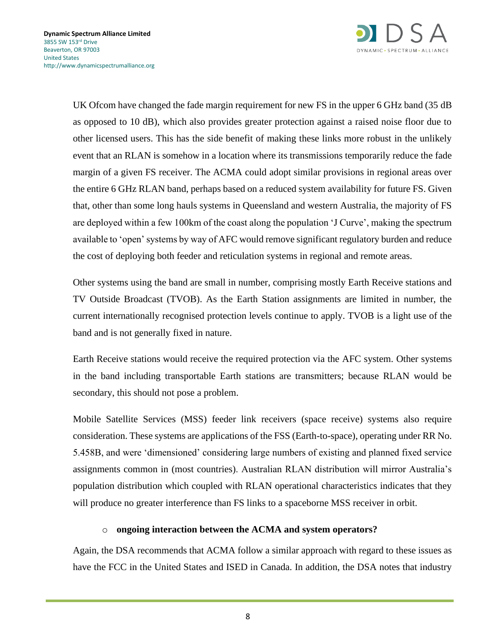

UK Ofcom have changed the fade margin requirement for new FS in the upper 6 GHz band (35 dB as opposed to 10 dB), which also provides greater protection against a raised noise floor due to other licensed users. This has the side benefit of making these links more robust in the unlikely event that an RLAN is somehow in a location where its transmissions temporarily reduce the fade margin of a given FS receiver. The ACMA could adopt similar provisions in regional areas over the entire 6 GHz RLAN band, perhaps based on a reduced system availability for future FS. Given that, other than some long hauls systems in Queensland and western Australia, the majority of FS are deployed within a few 100km of the coast along the population 'J Curve', making the spectrum available to 'open' systems by way of AFC would remove significant regulatory burden and reduce the cost of deploying both feeder and reticulation systems in regional and remote areas.

Other systems using the band are small in number, comprising mostly Earth Receive stations and TV Outside Broadcast (TVOB). As the Earth Station assignments are limited in number, the current internationally recognised protection levels continue to apply. TVOB is a light use of the band and is not generally fixed in nature.

Earth Receive stations would receive the required protection via the AFC system. Other systems in the band including transportable Earth stations are transmitters; because RLAN would be secondary, this should not pose a problem.

Mobile Satellite Services (MSS) feeder link receivers (space receive) systems also require consideration. These systems are applications of the FSS (Earth-to-space), operating under RR No. 5.458B, and were 'dimensioned' considering large numbers of existing and planned fixed service assignments common in (most countries). Australian RLAN distribution will mirror Australia's population distribution which coupled with RLAN operational characteristics indicates that they will produce no greater interference than FS links to a spaceborne MSS receiver in orbit.

#### o **ongoing interaction between the ACMA and system operators?**

Again, the DSA recommends that ACMA follow a similar approach with regard to these issues as have the FCC in the United States and ISED in Canada. In addition, the DSA notes that industry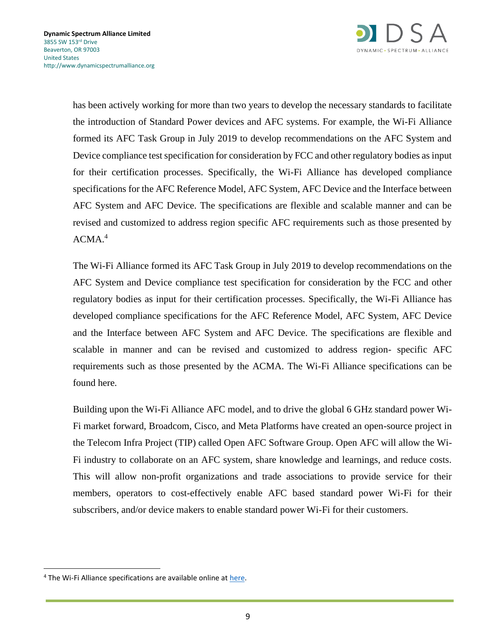

has been actively working for more than two years to develop the necessary standards to facilitate the introduction of Standard Power devices and AFC systems. For example, the Wi-Fi Alliance formed its AFC Task Group in July 2019 to develop recommendations on the AFC System and Device compliance test specification for consideration by FCC and other regulatory bodies as input for their certification processes. Specifically, the Wi-Fi Alliance has developed compliance specifications for the AFC Reference Model, AFC System, AFC Device and the Interface between AFC System and AFC Device. The specifications are flexible and scalable manner and can be revised and customized to address region specific AFC requirements such as those presented by  $ACMA.<sup>4</sup>$ 

The Wi-Fi Alliance formed its AFC Task Group in July 2019 to develop recommendations on the AFC System and Device compliance test specification for consideration by the FCC and other regulatory bodies as input for their certification processes. Specifically, the Wi-Fi Alliance has developed compliance specifications for the AFC Reference Model, AFC System, AFC Device and the Interface between AFC System and AFC Device. The specifications are flexible and scalable in manner and can be revised and customized to address region- specific AFC requirements such as those presented by the ACMA. The Wi-Fi Alliance specifications can be found here.

Building upon the Wi-Fi Alliance AFC model, and to drive the global 6 GHz standard power Wi-Fi market forward, Broadcom, Cisco, and Meta Platforms have created an open-source project in the Telecom Infra Project (TIP) called Open AFC Software Group. Open AFC will allow the Wi-Fi industry to collaborate on an AFC system, share knowledge and learnings, and reduce costs. This will allow non-profit organizations and trade associations to provide service for their members, operators to cost-effectively enable AFC based standard power Wi-Fi for their subscribers, and/or device makers to enable standard power Wi-Fi for their customers.

<sup>&</sup>lt;sup>4</sup> The Wi-Fi Alliance specifications are available online a[t here.](https://www.wi-fi.org/downloads-registered-guest/AFC_Specifications_and_Test_Plans.zip/38132)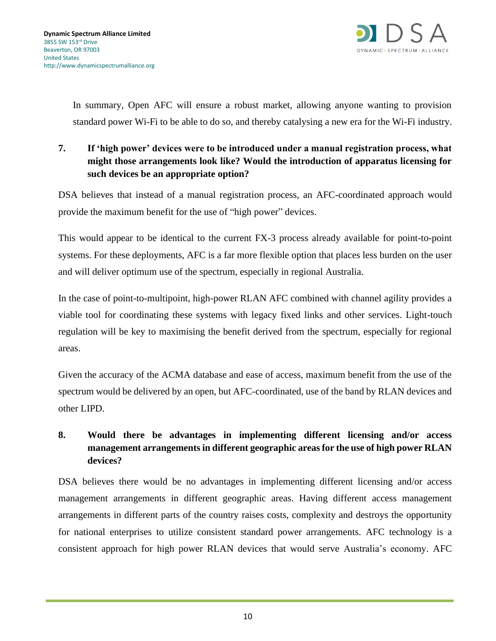

In summary, Open AFC will ensure a robust market, allowing anyone wanting to provision standard power Wi-Fi to be able to do so, and thereby catalysing a new era for the Wi-Fi industry.

## **7. If 'high power' devices were to be introduced under a manual registration process, what might those arrangements look like? Would the introduction of apparatus licensing for such devices be an appropriate option?**

DSA believes that instead of a manual registration process, an AFC-coordinated approach would provide the maximum benefit for the use of "high power" devices.

This would appear to be identical to the current FX-3 process already available for point-to-point systems. For these deployments, AFC is a far more flexible option that places less burden on the user and will deliver optimum use of the spectrum, especially in regional Australia.

In the case of point-to-multipoint, high-power RLAN AFC combined with channel agility provides a viable tool for coordinating these systems with legacy fixed links and other services. Light-touch regulation will be key to maximising the benefit derived from the spectrum, especially for regional areas.

Given the accuracy of the ACMA database and ease of access, maximum benefit from the use of the spectrum would be delivered by an open, but AFC-coordinated, use of the band by RLAN devices and other LIPD.

## **8. Would there be advantages in implementing different licensing and/or access management arrangements in different geographic areas for the use of high power RLAN devices?**

DSA believes there would be no advantages in implementing different licensing and/or access management arrangements in different geographic areas. Having different access management arrangements in different parts of the country raises costs, complexity and destroys the opportunity for national enterprises to utilize consistent standard power arrangements. AFC technology is a consistent approach for high power RLAN devices that would serve Australia's economy. AFC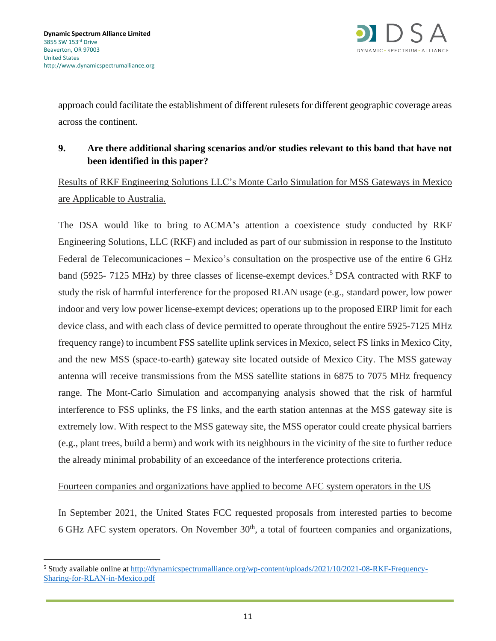

approach could facilitate the establishment of different rulesets for different geographic coverage areas across the continent.

## **9. Are there additional sharing scenarios and/or studies relevant to this band that have not been identified in this paper?**

Results of RKF Engineering Solutions LLC's Monte Carlo Simulation for MSS Gateways in Mexico are Applicable to Australia.

The DSA would like to bring to ACMA's attention a coexistence study conducted by RKF Engineering Solutions, LLC (RKF) and included as part of our submission in response to the Instituto Federal de Telecomunicaciones – Mexico's consultation on the prospective use of the entire 6 GHz band (5925- 7125 MHz) by three classes of license-exempt devices.<sup>5</sup> DSA contracted with RKF to study the risk of harmful interference for the proposed RLAN usage (e.g., standard power, low power indoor and very low power license-exempt devices; operations up to the proposed EIRP limit for each device class, and with each class of device permitted to operate throughout the entire 5925-7125 MHz frequency range) to incumbent FSS satellite uplink services in Mexico, select FS links in Mexico City, and the new MSS (space-to-earth) gateway site located outside of Mexico City. The MSS gateway antenna will receive transmissions from the MSS satellite stations in 6875 to 7075 MHz frequency range. The Mont-Carlo Simulation and accompanying analysis showed that the risk of harmful interference to FSS uplinks, the FS links, and the earth station antennas at the MSS gateway site is extremely low. With respect to the MSS gateway site, the MSS operator could create physical barriers (e.g., plant trees, build a berm) and work with its neighbours in the vicinity of the site to further reduce the already minimal probability of an exceedance of the interference protections criteria.

Fourteen companies and organizations have applied to become AFC system operators in the US

In September 2021, the United States FCC requested proposals from interested parties to become  $6$  GHz AFC system operators. On November  $30<sup>th</sup>$ , a total of fourteen companies and organizations,

<sup>5</sup> Study available online at [http://dynamicspectrumalliance.org/wp-content/uploads/2021/10/2021-08-RKF-Frequency-](http://dynamicspectrumalliance.org/wp-content/uploads/2021/10/2021-08-RKF-Frequency-Sharing-for-RLAN-in-Mexico.pdf)[Sharing-for-RLAN-in-Mexico.pdf](http://dynamicspectrumalliance.org/wp-content/uploads/2021/10/2021-08-RKF-Frequency-Sharing-for-RLAN-in-Mexico.pdf)